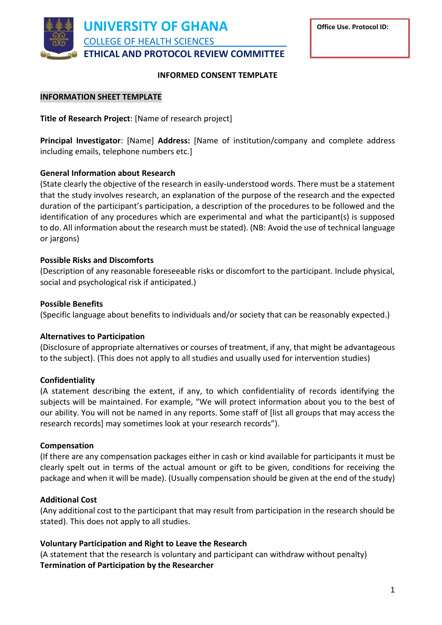

### **INFORMED CONSENT TEMPLATE**

## **INFORMATION SHEET TEMPLATE**

**Title of Research Project**: [Name of research project]

**Principal Investigator**: [Name] **Address:** [Name of institution/company and complete address including emails, telephone numbers etc.]

## **General Information about Research**

(State clearly the objective of the research in easily-understood words. There must be a statement that the study involves research, an explanation of the purpose of the research and the expected duration of the participant's participation, a description of the procedures to be followed and the identification of any procedures which are experimental and what the participant(s) is supposed to do. All information about the research must be stated). (NB: Avoid the use of technical language or jargons)

## **Possible Risks and Discomforts**

(Description of any reasonable foreseeable risks or discomfort to the participant. Include physical, social and psychological risk if anticipated.)

#### **Possible Benefits**

(Specific language about benefits to individuals and/or society that can be reasonably expected.)

#### **Alternatives to Participation**

(Disclosure of appropriate alternatives or courses of treatment, if any, that might be advantageous to the subject). (This does not apply to all studies and usually used for intervention studies)

#### **Confidentiality**

(A statement describing the extent, if any, to which confidentiality of records identifying the subjects will be maintained. For example, "We will protect information about you to the best of our ability. You will not be named in any reports. Some staff of [list all groups that may access the research records] may sometimes look at your research records").

#### **Compensation**

(If there are any compensation packages either in cash or kind available for participants it must be clearly spelt out in terms of the actual amount or gift to be given, conditions for receiving the package and when it will be made). (Usually compensation should be given at the end of the study)

#### **Additional Cost**

(Any additional cost to the participant that may result from participation in the research should be stated). This does not apply to all studies.

#### **Voluntary Participation and Right to Leave the Research**

(A statement that the research is voluntary and participant can withdraw without penalty) **Termination of Participation by the Researcher**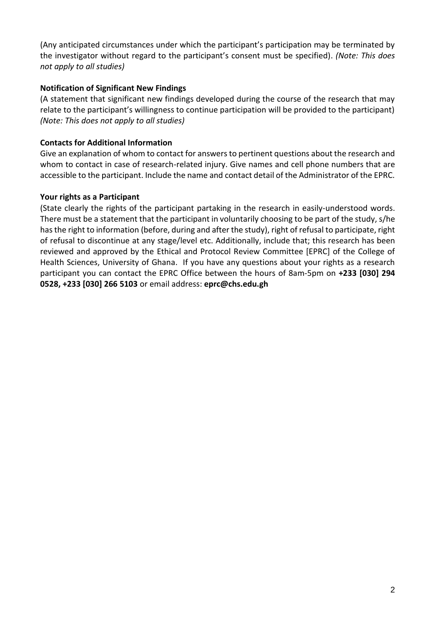(Any anticipated circumstances under which the participant's participation may be terminated by the investigator without regard to the participant's consent must be specified). *(Note: This does not apply to all studies)*

# **Notification of Significant New Findings**

(A statement that significant new findings developed during the course of the research that may relate to the participant's willingness to continue participation will be provided to the participant) *(Note: This does not apply to all studies)*

# **Contacts for Additional Information**

Give an explanation of whom to contact for answers to pertinent questions about the research and whom to contact in case of research-related injury. Give names and cell phone numbers that are accessible to the participant. Include the name and contact detail of the Administrator of the EPRC.

## **Your rights as a Participant**

(State clearly the rights of the participant partaking in the research in easily-understood words. There must be a statement that the participant in voluntarily choosing to be part of the study, s/he has the right to information (before, during and after the study), right of refusal to participate, right of refusal to discontinue at any stage/level etc. Additionally, include that; this research has been reviewed and approved by the Ethical and Protocol Review Committee [EPRC] of the College of Health Sciences, University of Ghana. If you have any questions about your rights as a research participant you can contact the EPRC Office between the hours of 8am-5pm on **+233 [030] 294 0528, +233 [030] 266 5103** or email address: **eprc@chs.edu.gh**